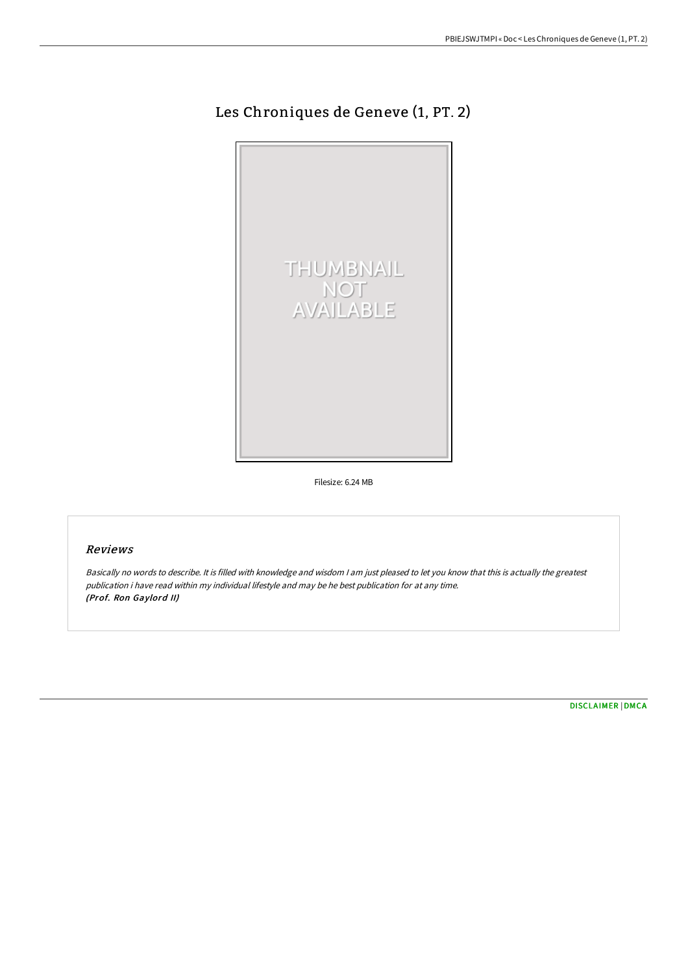## Les Chroniques de Geneve (1, PT. 2)



Filesize: 6.24 MB

## Reviews

Basically no words to describe. It is filled with knowledge and wisdom <sup>I</sup> am just pleased to let you know that this is actually the greatest publication i have read within my individual lifestyle and may be he best publication for at any time. (Prof. Ron Gaylord II)

[DISCLAIMER](http://bookera.tech/disclaimer.html) | [DMCA](http://bookera.tech/dmca.html)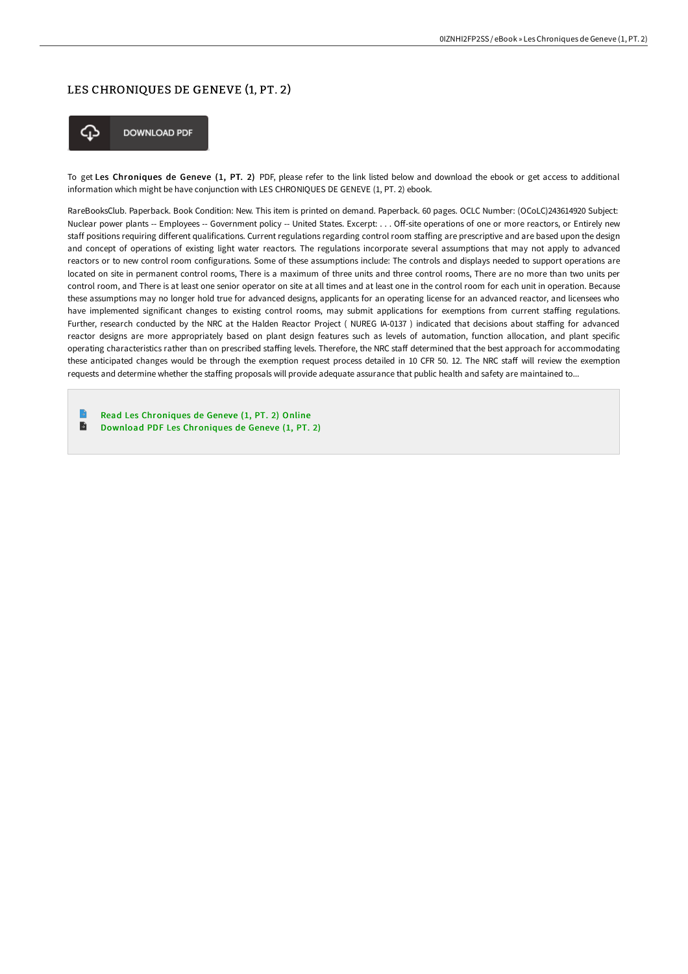## LES CHRONIQUES DE GENEVE (1, PT. 2)



To get Les Chroniques de Geneve (1, PT. 2) PDF, please refer to the link listed below and download the ebook or get access to additional information which might be have conjunction with LES CHRONIQUES DE GENEVE (1, PT. 2) ebook.

RareBooksClub. Paperback. Book Condition: New. This item is printed on demand. Paperback. 60 pages. OCLC Number: (OCoLC)243614920 Subject: Nuclear power plants -- Employees -- Government policy -- United States. Excerpt: . . . Off-site operations of one or more reactors, or Entirely new staff positions requiring different qualifications. Current regulations regarding control room staffing are prescriptive and are based upon the design and concept of operations of existing light water reactors. The regulations incorporate several assumptions that may not apply to advanced reactors or to new control room configurations. Some of these assumptions include: The controls and displays needed to support operations are located on site in permanent control rooms, There is a maximum of three units and three control rooms, There are no more than two units per control room, and There is at least one senior operator on site at all times and at least one in the control room for each unit in operation. Because these assumptions may no longer hold true for advanced designs, applicants for an operating license for an advanced reactor, and licensees who have implemented significant changes to existing control rooms, may submit applications for exemptions from current staffing regulations. Further, research conducted by the NRC at the Halden Reactor Project (NUREG IA-0137) indicated that decisions about staffing for advanced reactor designs are more appropriately based on plant design features such as levels of automation, function allocation, and plant specific operating characteristics rather than on prescribed staffing levels. Therefore, the NRC staff determined that the best approach for accommodating these anticipated changes would be through the exemption request process detailed in 10 CFR 50. 12. The NRC staff will review the exemption requests and determine whether the staffing proposals will provide adequate assurance that public health and safety are maintained to...

B Read Les [Chroniques](http://bookera.tech/les-chroniques-de-geneve-1-pt-2.html) de Geneve (1, PT. 2) Online  $\blacksquare$ 

Download PDF Les [Chroniques](http://bookera.tech/les-chroniques-de-geneve-1-pt-2.html) de Geneve (1, PT. 2)